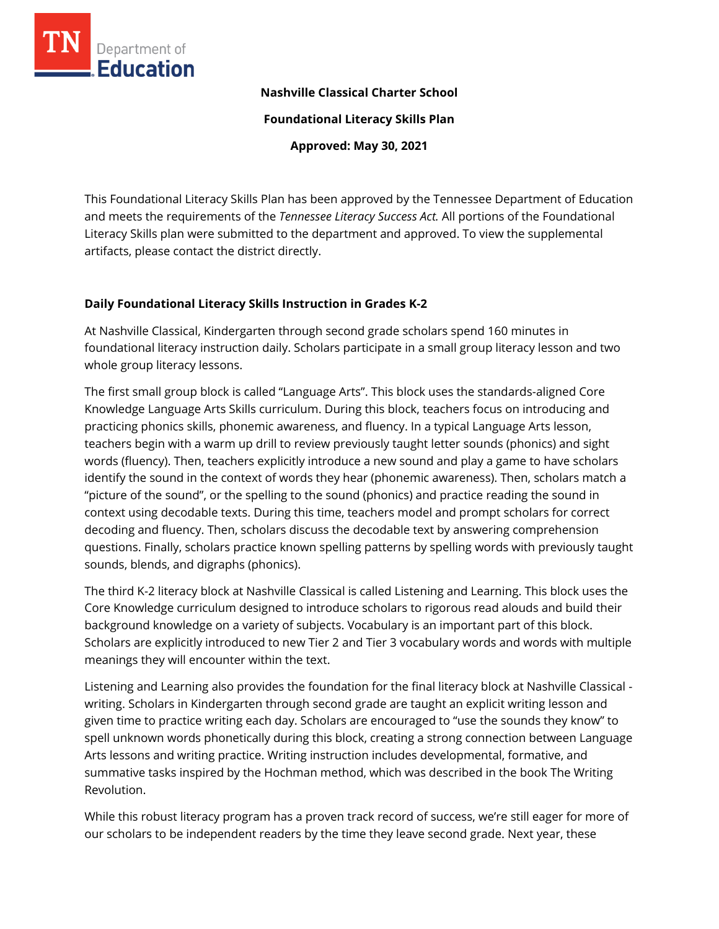

**Nashville Classical Charter School**

**Foundational Literacy Skills Plan**

**Approved: May 30, 2021**

This Foundational Literacy Skills Plan has been approved by the Tennessee Department of Education and meets the requirements of the *Tennessee Literacy Success Act.* All portions of the Foundational Literacy Skills plan were submitted to the department and approved. To view the supplemental artifacts, please contact the district directly.

### **Daily Foundational Literacy Skills Instruction in Grades K-2**

At Nashville Classical, Kindergarten through second grade scholars spend 160 minutes in foundational literacy instruction daily. Scholars participate in a small group literacy lesson and two whole group literacy lessons.

The first small group block is called "Language Arts". This block uses the standards-aligned Core Knowledge Language Arts Skills curriculum. During this block, teachers focus on introducing and practicing phonics skills, phonemic awareness, and fluency. In a typical Language Arts lesson, teachers begin with a warm up drill to review previously taught letter sounds (phonics) and sight words (fluency). Then, teachers explicitly introduce a new sound and play a game to have scholars identify the sound in the context of words they hear (phonemic awareness). Then, scholars match a "picture of the sound", or the spelling to the sound (phonics) and practice reading the sound in context using decodable texts. During this time, teachers model and prompt scholars for correct decoding and fluency. Then, scholars discuss the decodable text by answering comprehension questions. Finally, scholars practice known spelling patterns by spelling words with previously taught sounds, blends, and digraphs (phonics).

The third K-2 literacy block at Nashville Classical is called Listening and Learning. This block uses the Core Knowledge curriculum designed to introduce scholars to rigorous read alouds and build their background knowledge on a variety of subjects. Vocabulary is an important part of this block. Scholars are explicitly introduced to new Tier 2 and Tier 3 vocabulary words and words with multiple meanings they will encounter within the text.

Listening and Learning also provides the foundation for the final literacy block at Nashville Classical writing. Scholars in Kindergarten through second grade are taught an explicit writing lesson and given time to practice writing each day. Scholars are encouraged to "use the sounds they know" to spell unknown words phonetically during this block, creating a strong connection between Language Arts lessons and writing practice. Writing instruction includes developmental, formative, and summative tasks inspired by the Hochman method, which was described in the book The Writing Revolution.

While this robust literacy program has a proven track record of success, we're still eager for more of our scholars to be independent readers by the time they leave second grade. Next year, these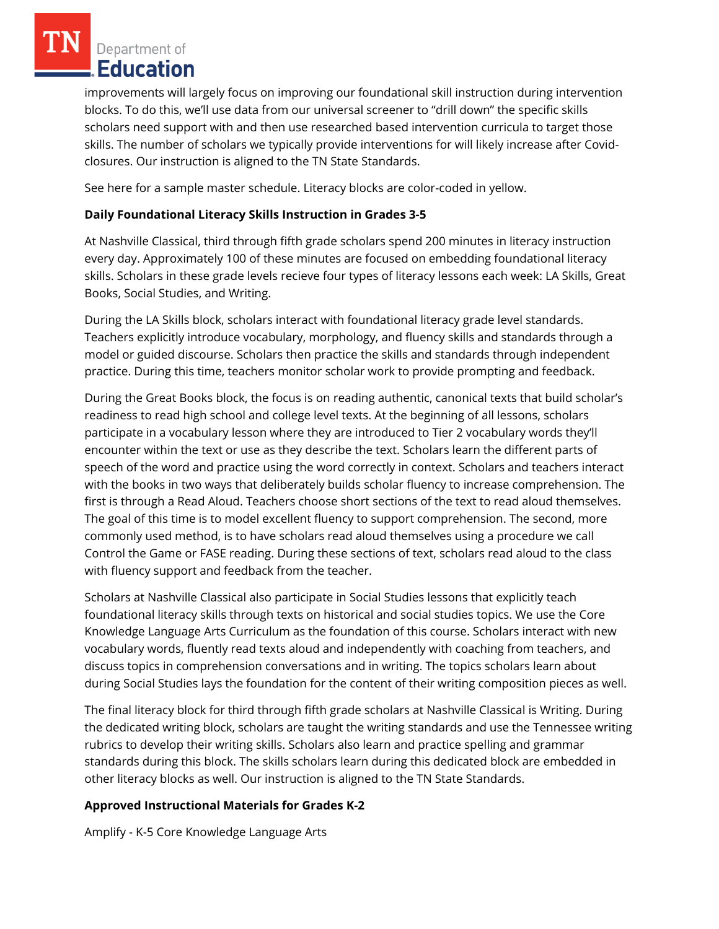Department of Education

improvements will largely focus on improving our foundational skill instruction during intervention blocks. To do this, we'll use data from our universal screener to "drill down" the specific skills scholars need support with and then use researched based intervention curricula to target those skills. The number of scholars we typically provide interventions for will likely increase after Covidclosures. Our instruction is aligned to the TN State Standards.

See here for a sample master schedule. Literacy blocks are color-coded in yellow.

## **Daily Foundational Literacy Skills Instruction in Grades 3-5**

At Nashville Classical, third through fifth grade scholars spend 200 minutes in literacy instruction every day. Approximately 100 of these minutes are focused on embedding foundational literacy skills. Scholars in these grade levels recieve four types of literacy lessons each week: LA Skills, Great Books, Social Studies, and Writing.

During the LA Skills block, scholars interact with foundational literacy grade level standards. Teachers explicitly introduce vocabulary, morphology, and fluency skills and standards through a model or guided discourse. Scholars then practice the skills and standards through independent practice. During this time, teachers monitor scholar work to provide prompting and feedback.

During the Great Books block, the focus is on reading authentic, canonical texts that build scholar's readiness to read high school and college level texts. At the beginning of all lessons, scholars participate in a vocabulary lesson where they are introduced to Tier 2 vocabulary words they'll encounter within the text or use as they describe the text. Scholars learn the different parts of speech of the word and practice using the word correctly in context. Scholars and teachers interact with the books in two ways that deliberately builds scholar fluency to increase comprehension. The first is through a Read Aloud. Teachers choose short sections of the text to read aloud themselves. The goal of this time is to model excellent fluency to support comprehension. The second, more commonly used method, is to have scholars read aloud themselves using a procedure we call Control the Game or FASE reading. During these sections of text, scholars read aloud to the class with fluency support and feedback from the teacher.

Scholars at Nashville Classical also participate in Social Studies lessons that explicitly teach foundational literacy skills through texts on historical and social studies topics. We use the Core Knowledge Language Arts Curriculum as the foundation of this course. Scholars interact with new vocabulary words, fluently read texts aloud and independently with coaching from teachers, and discuss topics in comprehension conversations and in writing. The topics scholars learn about during Social Studies lays the foundation for the content of their writing composition pieces as well.

The final literacy block for third through fifth grade scholars at Nashville Classical is Writing. During the dedicated writing block, scholars are taught the writing standards and use the Tennessee writing rubrics to develop their writing skills. Scholars also learn and practice spelling and grammar standards during this block. The skills scholars learn during this dedicated block are embedded in other literacy blocks as well. Our instruction is aligned to the TN State Standards.

# **Approved Instructional Materials for Grades K-2**

Amplify - K-5 Core Knowledge Language Arts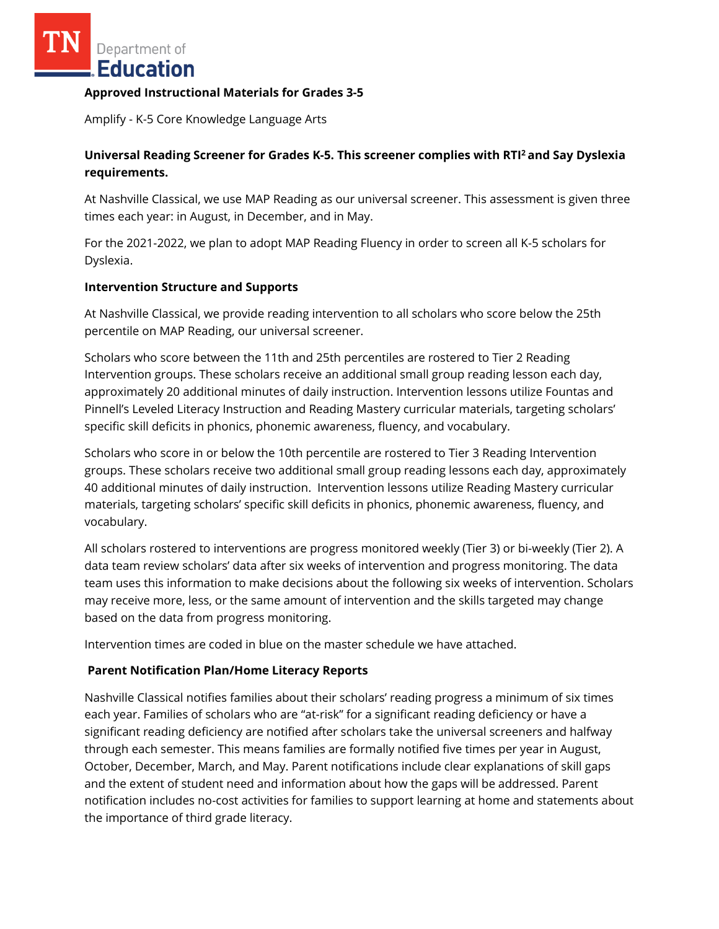Department of Education

#### **Approved Instructional Materials for Grades 3-5**

Amplify - K-5 Core Knowledge Language Arts

# **Universal Reading Screener for Grades K-5. This screener complies with RTI<sup>2</sup>and Say Dyslexia requirements.**

At Nashville Classical, we use MAP Reading as our universal screener. This assessment is given three times each year: in August, in December, and in May.

For the 2021-2022, we plan to adopt MAP Reading Fluency in order to screen all K-5 scholars for Dyslexia.

#### **Intervention Structure and Supports**

At Nashville Classical, we provide reading intervention to all scholars who score below the 25th percentile on MAP Reading, our universal screener.

Scholars who score between the 11th and 25th percentiles are rostered to Tier 2 Reading Intervention groups. These scholars receive an additional small group reading lesson each day, approximately 20 additional minutes of daily instruction. Intervention lessons utilize Fountas and Pinnell's Leveled Literacy Instruction and Reading Mastery curricular materials, targeting scholars' specific skill deficits in phonics, phonemic awareness, fluency, and vocabulary.

Scholars who score in or below the 10th percentile are rostered to Tier 3 Reading Intervention groups. These scholars receive two additional small group reading lessons each day, approximately 40 additional minutes of daily instruction. Intervention lessons utilize Reading Mastery curricular materials, targeting scholars' specific skill deficits in phonics, phonemic awareness, fluency, and vocabulary.

All scholars rostered to interventions are progress monitored weekly (Tier 3) or bi-weekly (Tier 2). A data team review scholars' data after six weeks of intervention and progress monitoring. The data team uses this information to make decisions about the following six weeks of intervention. Scholars may receive more, less, or the same amount of intervention and the skills targeted may change based on the data from progress monitoring.

Intervention times are coded in blue on the master schedule we have attached.

### **Parent Notification Plan/Home Literacy Reports**

Nashville Classical notifies families about their scholars' reading progress a minimum of six times each year. Families of scholars who are "at-risk" for a significant reading deficiency or have a significant reading deficiency are notified after scholars take the universal screeners and halfway through each semester. This means families are formally notified five times per year in August, October, December, March, and May. Parent notifications include clear explanations of skill gaps and the extent of student need and information about how the gaps will be addressed. Parent notification includes no-cost activities for families to support learning at home and statements about the importance of third grade literacy.